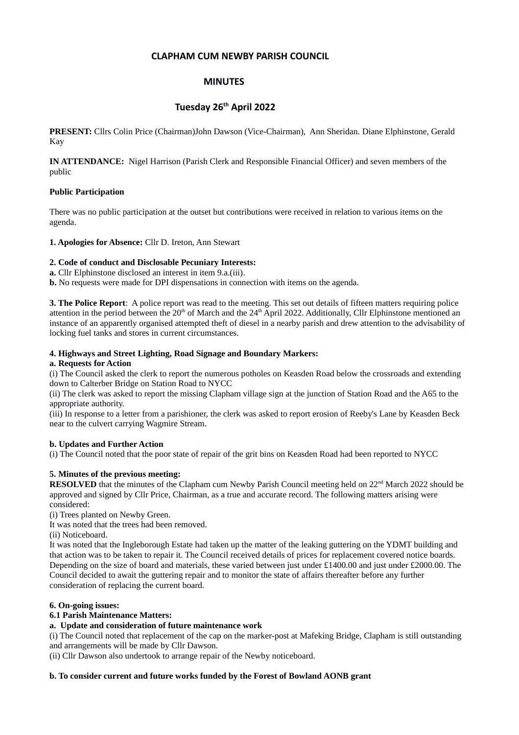# **CLAPHAM CUM NEWBY PARISH COUNCIL**

# **MINUTES**

# **Tuesday 26th April 2022**

**PRESENT:** Cllrs Colin Price (Chairman)John Dawson (Vice-Chairman), Ann Sheridan. Diane Elphinstone, Gerald Kay

**IN ATTENDANCE:** Nigel Harrison (Parish Clerk and Responsible Financial Officer) and seven members of the public

### **Public Participation**

There was no public participation at the outset but contributions were received in relation to various items on the agenda.

**1. Apologies for Absence:** Cllr D. Ireton, Ann Stewart

## **2. Code of conduct and Disclosable Pecuniary Interests:**

**a.** Cllr Elphinstone disclosed an interest in item 9.a.(iii).

**b.** No requests were made for DPI dispensations in connection with items on the agenda.

**3. The Police Report**: A police report was read to the meeting. This set out details of fifteen matters requiring police attention in the period between the  $20<sup>th</sup>$  of March and the  $24<sup>th</sup>$  April 2022. Additionally, Cllr Elphinstone mentioned an instance of an apparently organised attempted theft of diesel in a nearby parish and drew attention to the advisability of locking fuel tanks and stores in current circumstances.

## **4. Highways and Street Lighting, Road Signage and Boundary Markers:**

#### **a. Requests for Action**

(i) The Council asked the clerk to report the numerous potholes on Keasden Road below the crossroads and extending down to Calterber Bridge on Station Road to NYCC

(ii) The clerk was asked to report the missing Clapham village sign at the junction of Station Road and the A65 to the appropriate authority.

(iii) In response to a letter from a parishioner, the clerk was asked to report erosion of Reeby's Lane by Keasden Beck near to the culvert carrying Wagmire Stream.

#### **b. Updates and Further Action**

(i) The Council noted that the poor state of repair of the grit bins on Keasden Road had been reported to NYCC

## **5. Minutes of the previous meeting:**

**RESOLVED** that the minutes of the Clapham cum Newby Parish Council meeting held on 22<sup>nd</sup> March 2022 should be approved and signed by Cllr Price, Chairman, as a true and accurate record. The following matters arising were considered:

(i) Trees planted on Newby Green.

It was noted that the trees had been removed.

(ii) Noticeboard.

It was noted that the Ingleborough Estate had taken up the matter of the leaking guttering on the YDMT building and that action was to be taken to repair it. The Council received details of prices for replacement covered notice boards. Depending on the size of board and materials, these varied between just under £1400.00 and just under £2000.00. The Council decided to await the guttering repair and to monitor the state of affairs thereafter before any further consideration of replacing the current board.

## **6. On-going issues:**

## **6.1 Parish Maintenance Matters:**

#### **a. Update and consideration of future maintenance work**

(i) The Council noted that replacement of the cap on the marker-post at Mafeking Bridge, Clapham is still outstanding and arrangements will be made by Cllr Dawson.

(ii) Cllr Dawson also undertook to arrange repair of the Newby noticeboard.

#### **b. To consider current and future works funded by the Forest of Bowland AONB grant**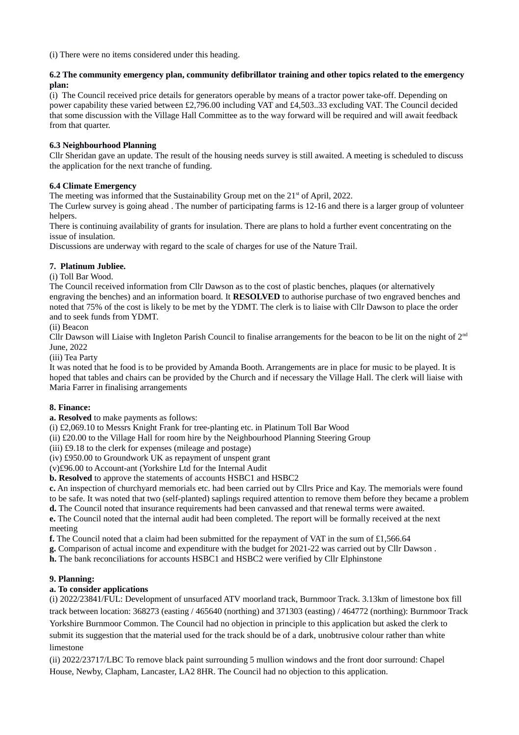(i) There were no items considered under this heading.

### **6.2 The community emergency plan, community defibrillator training and other topics related to the emergency plan:**

(i) The Council received price details for generators operable by means of a tractor power take-off. Depending on power capability these varied between £2,796.00 including VAT and £4,503..33 excluding VAT. The Council decided that some discussion with the Village Hall Committee as to the way forward will be required and will await feedback from that quarter.

### **6.3 Neighbourhood Planning**

Cllr Sheridan gave an update. The result of the housing needs survey is still awaited. A meeting is scheduled to discuss the application for the next tranche of funding.

### **6.4 Climate Emergency**

The meeting was informed that the Sustainability Group met on the  $21<sup>st</sup>$  of April, 2022.

The Curlew survey is going ahead . The number of participating farms is 12-16 and there is a larger group of volunteer helpers.

There is continuing availability of grants for insulation. There are plans to hold a further event concentrating on the issue of insulation.

Discussions are underway with regard to the scale of charges for use of the Nature Trail.

## **7. Platinum Jubliee.**

(i) Toll Bar Wood.

The Council received information from Cllr Dawson as to the cost of plastic benches, plaques (or alternatively engraving the benches) and an information board. It **RESOLVED** to authorise purchase of two engraved benches and noted that 75% of the cost is likely to be met by the YDMT. The clerk is to liaise with Cllr Dawson to place the order and to seek funds from YDMT.

(ii) Beacon

Cllr Dawson will Liaise with Ingleton Parish Council to finalise arrangements for the beacon to be lit on the night of  $2<sup>nd</sup>$ June, 2022

(iii) Tea Party

It was noted that he food is to be provided by Amanda Booth. Arrangements are in place for music to be played. It is hoped that tables and chairs can be provided by the Church and if necessary the Village Hall. The clerk will liaise with Maria Farrer in finalising arrangements

## **8. Finance:**

**a. Resolved** to make payments as follows:

(i) £2,069.10 to Messrs Knight Frank for tree-planting etc. in Platinum Toll Bar Wood

(ii) £20.00 to the Village Hall for room hire by the Neighbourhood Planning Steering Group

(iii) £9.18 to the clerk for expenses (mileage and postage)

(iv) £950.00 to Groundwork UK as repayment of unspent grant

(v)£96.00 to Account-ant (Yorkshire Ltd for the Internal Audit

**b. Resolved** to approve the statements of accounts HSBC1 and HSBC2

**c.** An inspection of churchyard memorials etc. had been carried out by Cllrs Price and Kay. The memorials were found to be safe. It was noted that two (self-planted) saplings required attention to remove them before they became a problem

**d.** The Council noted that insurance requirements had been canvassed and that renewal terms were awaited.

**e.** The Council noted that the internal audit had been completed. The report will be formally received at the next meeting

**f.** The Council noted that a claim had been submitted for the repayment of VAT in the sum of £1,566.64

**g.** Comparison of actual income and expenditure with the budget for 2021-22 was carried out by Cllr Dawson .

**h.** The bank reconciliations for accounts HSBC1 and HSBC2 were verified by Cllr Elphinstone

## **9. Planning:**

## **a. To consider applications**

(i) 2022/23841/FUL: Development of unsurfaced ATV moorland track, Burnmoor Track. 3.13km of limestone box fill track between location: 368273 (easting / 465640 (northing) and 371303 (easting) / 464772 (northing): Burnmoor Track Yorkshire Burnmoor Common. The Council had no objection in principle to this application but asked the clerk to submit its suggestion that the material used for the track should be of a dark, unobtrusive colour rather than white limestone

(ii) 2022/23717/LBC To remove black paint surrounding 5 mullion windows and the front door surround: Chapel House, Newby, Clapham, Lancaster, LA2 8HR. The Council had no objection to this application.